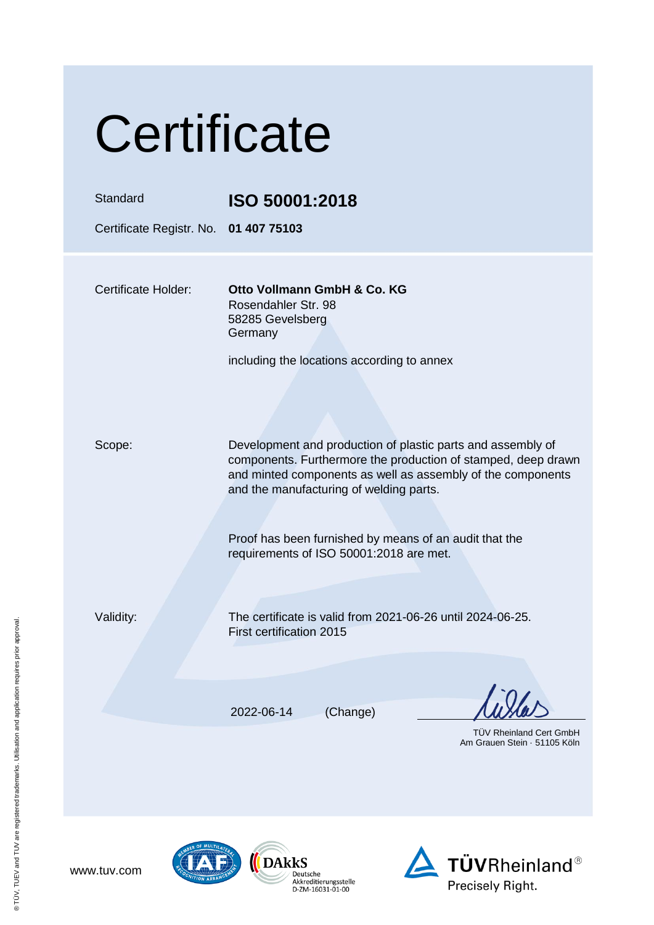| Certificate                                       |                                                                                                                                                                                                                                        |  |
|---------------------------------------------------|----------------------------------------------------------------------------------------------------------------------------------------------------------------------------------------------------------------------------------------|--|
| Standard<br>Certificate Registr. No. 01 407 75103 | ISO 50001:2018                                                                                                                                                                                                                         |  |
|                                                   |                                                                                                                                                                                                                                        |  |
| <b>Certificate Holder:</b>                        | Otto Vollmann GmbH & Co. KG<br>Rosendahler Str. 98<br>58285 Gevelsberg<br>Germany                                                                                                                                                      |  |
|                                                   | including the locations according to annex                                                                                                                                                                                             |  |
| Scope:                                            | Development and production of plastic parts and assembly of<br>components. Furthermore the production of stamped, deep drawn<br>and minted components as well as assembly of the components<br>and the manufacturing of welding parts. |  |
|                                                   | Proof has been furnished by means of an audit that the<br>requirements of ISO 50001:2018 are met.                                                                                                                                      |  |
| Validity:                                         | The certificate is valid from 2021-06-26 until 2024-06-25.<br>First certification 2015                                                                                                                                                 |  |
|                                                   |                                                                                                                                                                                                                                        |  |
|                                                   | (Change)<br>2022-06-14                                                                                                                                                                                                                 |  |
|                                                   | <b>TUV Rheinland Cert GmbH</b><br>Am Grauen Stein · 51105 Köln                                                                                                                                                                         |  |





 $\overbrace{\left(\begin{array}{c}\begin{smallmatrix} \textbf{DAk}\textbf{k}\textbf{S}\\ \textbf{Deutsche}\\ \textbf{Akkreditierungsstelle}\\ \textbf{D-ZM-16031-01-00}\end{smallmatrix}\end{array}\right.}$ 

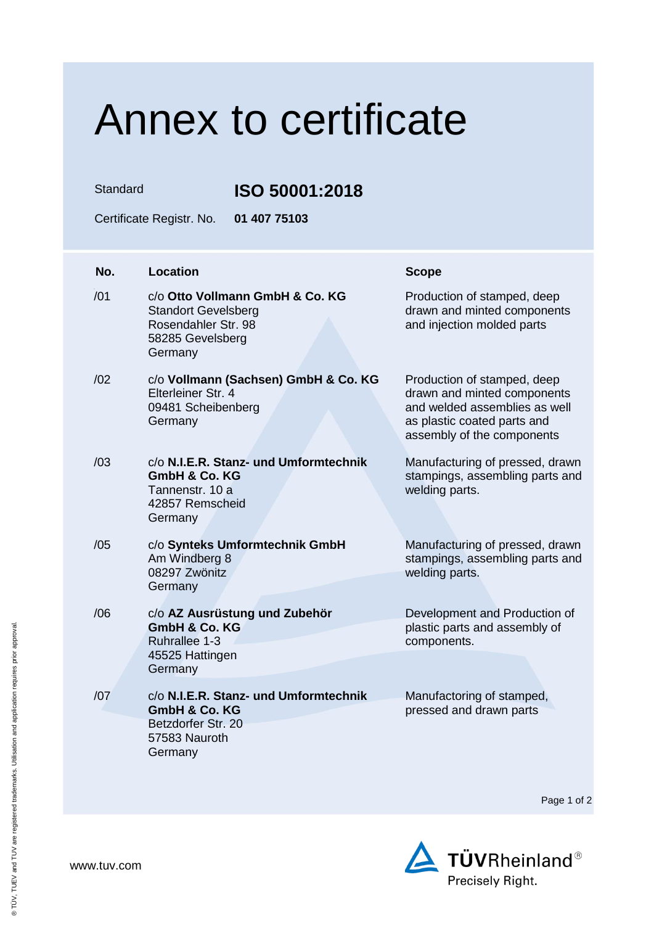## Annex to certificate

Standard **ISO 50001:2018**

Certificate Registr. No. **01 407 75103**

| No. | <b>Location</b>                                                                                                     | <b>Scope</b>                                                                                                                                             |
|-----|---------------------------------------------------------------------------------------------------------------------|----------------------------------------------------------------------------------------------------------------------------------------------------------|
| /01 | c/o Otto Vollmann GmbH & Co. KG<br><b>Standort Gevelsberg</b><br>Rosendahler Str. 98<br>58285 Gevelsberg<br>Germany | Production of stamped, deep<br>drawn and minted components<br>and injection molded parts                                                                 |
| /02 | c/o Vollmann (Sachsen) GmbH & Co. KG<br>Elterleiner Str. 4<br>09481 Scheibenberg<br>Germany                         | Production of stamped, deep<br>drawn and minted components<br>and welded assemblies as well<br>as plastic coated parts and<br>assembly of the components |
| /03 | c/o N.I.E.R. Stanz- und Umformtechnik<br><b>GmbH &amp; Co. KG</b><br>Tannenstr, 10 a<br>42857 Remscheid<br>Germany  | Manufacturing of pressed, drawn<br>stampings, assembling parts and<br>welding parts.                                                                     |
| /05 | c/o Synteks Umformtechnik GmbH<br>Am Windberg 8<br>08297 Zwönitz<br>Germany                                         | Manufacturing of pressed, drawn<br>stampings, assembling parts and<br>welding parts.                                                                     |
| /06 | c/o AZ Ausrüstung und Zubehör<br><b>GmbH &amp; Co. KG</b><br>Ruhrallee 1-3<br>45525 Hattingen<br>Germany            | Development and Production of<br>plastic parts and assembly of<br>components.                                                                            |
| /07 | c/o N.I.E.R. Stanz- und Umformtechnik<br><b>GmbH &amp; Co. KG</b><br>Betzdorfer Str. 20<br>57583 Nauroth<br>Germany | Manufactoring of stamped,<br>pressed and drawn parts                                                                                                     |

Page 1 of 2